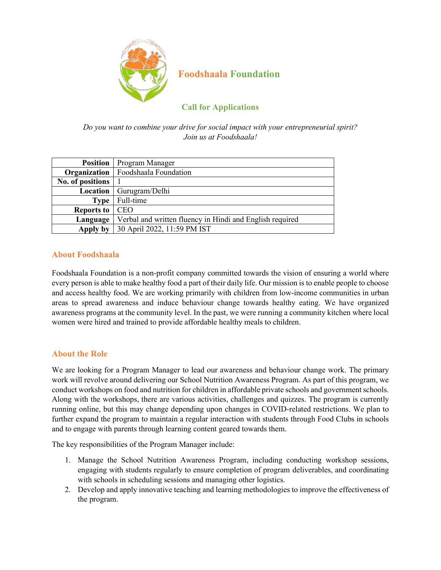

# **Foodshaala Foundation**

# **Call for Applications**

*Do you want to combine your drive for social impact with your entrepreneurial spirit? Join us at Foodshaala!*

| <b>Position</b>  | Program Manager                                          |
|------------------|----------------------------------------------------------|
|                  | <b>Organization</b>   Foodshaala Foundation              |
| No. of positions |                                                          |
| Location         | Gurugram/Delhi                                           |
| <b>Type</b>      | Full-time                                                |
| Reports to       | <b>CEO</b>                                               |
| Language         | Verbal and written fluency in Hindi and English required |
| Apply by         | 30 April 2022, 11:59 PM IST                              |

### **About Foodshaala**

Foodshaala Foundation is a non-profit company committed towards the vision of ensuring a world where every person is able to make healthy food a part of their daily life. Our mission is to enable people to choose and access healthy food. We are working primarily with children from low-income communities in urban areas to spread awareness and induce behaviour change towards healthy eating. We have organized awareness programs at the community level. In the past, we were running a community kitchen where local women were hired and trained to provide affordable healthy meals to children.

### **About the Role**

We are looking for a Program Manager to lead our awareness and behaviour change work. The primary work will revolve around delivering our School Nutrition Awareness Program. As part of this program, we conduct workshops on food and nutrition for children in affordable private schools and government schools. Along with the workshops, there are various activities, challenges and quizzes. The program is currently running online, but this may change depending upon changes in COVID-related restrictions. We plan to further expand the program to maintain a regular interaction with students through Food Clubs in schools and to engage with parents through learning content geared towards them.

The key responsibilities of the Program Manager include:

- 1. Manage the School Nutrition Awareness Program, including conducting workshop sessions, engaging with students regularly to ensure completion of program deliverables, and coordinating with schools in scheduling sessions and managing other logistics.
- 2. Develop and apply innovative teaching and learning methodologies to improve the effectiveness of the program.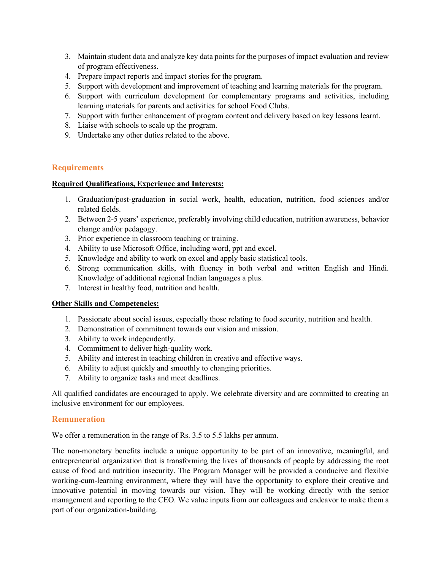- 3. Maintain student data and analyze key data points for the purposes of impact evaluation and review of program effectiveness.
- 4. Prepare impact reports and impact stories for the program.
- 5. Support with development and improvement of teaching and learning materials for the program.
- 6. Support with curriculum development for complementary programs and activities, including learning materials for parents and activities for school Food Clubs.
- 7. Support with further enhancement of program content and delivery based on key lessons learnt.
- 8. Liaise with schools to scale up the program.
- 9. Undertake any other duties related to the above.

#### **Requirements**

#### **Required Qualifications, Experience and Interests:**

- 1. Graduation/post-graduation in social work, health, education, nutrition, food sciences and/or related fields.
- 2. Between 2-5 years' experience, preferably involving child education, nutrition awareness, behavior change and/or pedagogy.
- 3. Prior experience in classroom teaching or training.
- 4. Ability to use Microsoft Office, including word, ppt and excel.
- 5. Knowledge and ability to work on excel and apply basic statistical tools.
- 6. Strong communication skills, with fluency in both verbal and written English and Hindi. Knowledge of additional regional Indian languages a plus.
- 7. Interest in healthy food, nutrition and health.

#### **Other Skills and Competencies:**

- 1. Passionate about social issues, especially those relating to food security, nutrition and health.
- 2. Demonstration of commitment towards our vision and mission.
- 3. Ability to work independently.
- 4. Commitment to deliver high-quality work.
- 5. Ability and interest in teaching children in creative and effective ways.
- 6. Ability to adjust quickly and smoothly to changing priorities.
- 7. Ability to organize tasks and meet deadlines.

All qualified candidates are encouraged to apply. We celebrate diversity and are committed to creating an inclusive environment for our employees.

#### **Remuneration**

We offer a remuneration in the range of Rs. 3.5 to 5.5 lakhs per annum.

The non-monetary benefits include a unique opportunity to be part of an innovative, meaningful, and entrepreneurial organization that is transforming the lives of thousands of people by addressing the root cause of food and nutrition insecurity. The Program Manager will be provided a conducive and flexible working-cum-learning environment, where they will have the opportunity to explore their creative and innovative potential in moving towards our vision. They will be working directly with the senior management and reporting to the CEO. We value inputs from our colleagues and endeavor to make them a part of our organization-building.